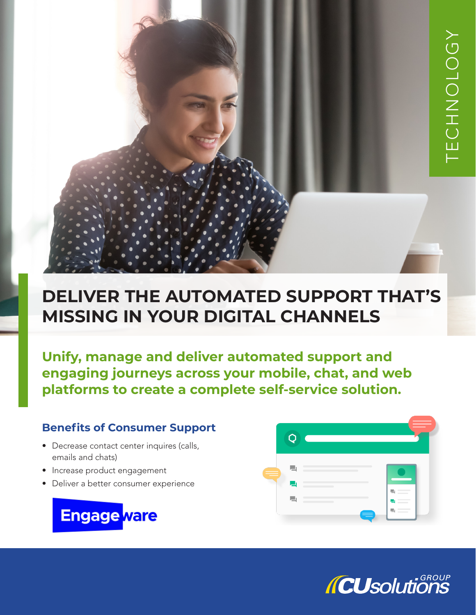# **DELIVER THE AUTOMATED SUPPORT THAT'S MISSING IN YOUR DIGITAL CHANNELS**

**Unify, manage and deliver automated support and engaging journeys across your mobile, chat, and web platforms to create a complete self-service solution.**

## **Benefits of Consumer Support**

- Decrease contact center inquires (calls, emails and chats)
- Increase product engagement
- Deliver a better consumer experience